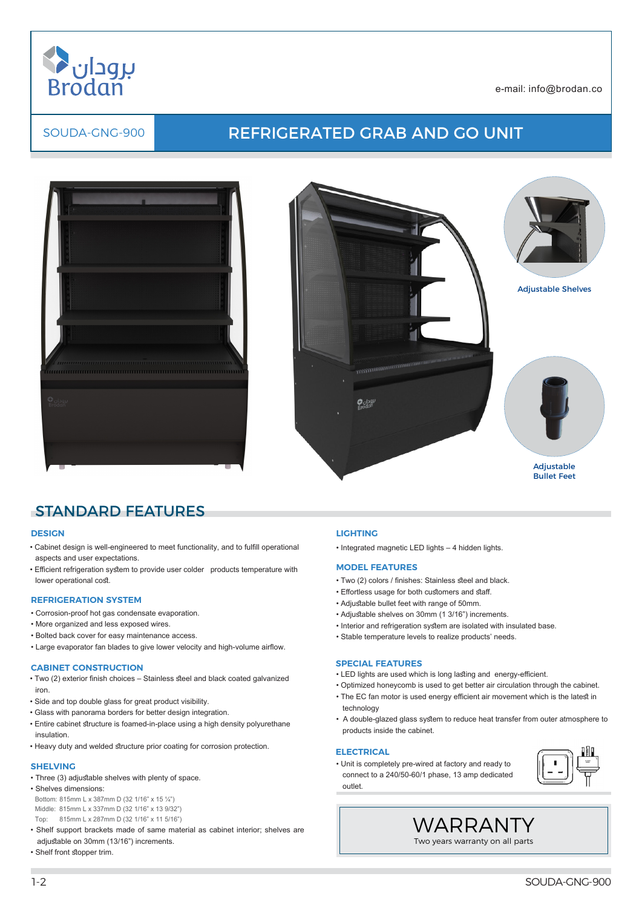

# SOUDA-GNG-900 REFRIGERATED GRAB AND GO UNIT





## STANDARD FEATURES

### **DESIGN**

- Cabinet design is well-engineered to meet functionality, and to fulfill operational aspects and user expectations.
- Efficient refrigeration system to provide user colder products temperature with lower operational cost.

## **REFRIGERATION SYSTEM**

- Corrosion-proof hot gas condensate evaporation.
- More organized and less exposed wires.
- Bolted back cover for easy maintenance access.
- Large evaporator fan blades to give lower velocity and high-volume airflow.

#### **CABINET CONSTRUCTION**

- Two (2) exterior finish choices Stainless steel and black coated galvanized iron.
- Side and top double glass for great product visibility.
- Glass with panorama borders for better design integration.
- Entire cabinet structure is foamed-in-place using a high density polyurethane insulation.
- Heavy duty and welded structure prior coating for corrosion protection.

#### **SHELVING**

- Three (3) adjustable shelves with plenty of space.
- Shelves dimensions:
- Bottom: 815mm L x 387mm D (32 1/16" x 15 ¼") Middle: 815mm L x 337mm D (32 1/16" x 13 9/32")
- Top: 815mm L x 287mm D (32 1/16" x 11 5/16")
- Shelf support brackets made of same material as cabinet interior; shelves are adjustable on 30mm (13/16") increments.
- Shelf front stopper trim.

#### **LIGHTING**

• Integrated magnetic LED lights – 4 hidden lights.

#### **MODEL FEATURES**

- Two (2) colors / finishes: Stainless steel and black.
- Effortless usage for both customers and staff.
- Adjustable bullet feet with range of 50mm.
- Adjustable shelves on 30mm (1 3/16") increments.
- Interior and refrigeration system are isolated with insulated base.
- Stable temperature levels to realize products' needs.

#### **SPECIAL FEATURES**

- LED lights are used which is long lasting and energy-efficient.
- Optimized honeycomb is used to get better air circulation through the cabinet.
- The EC fan motor is used energy efficient air movement which is the latest in technology
- A double-glazed glass system to reduce heat transfer from outer atmosphere to products inside the cabinet.

WARRANTY

## **ELECTRICAL**

• Unit is completely pre-wired at factory and ready to connect to a 240/50-60/1 phase, 13 amp dedicated outlet.